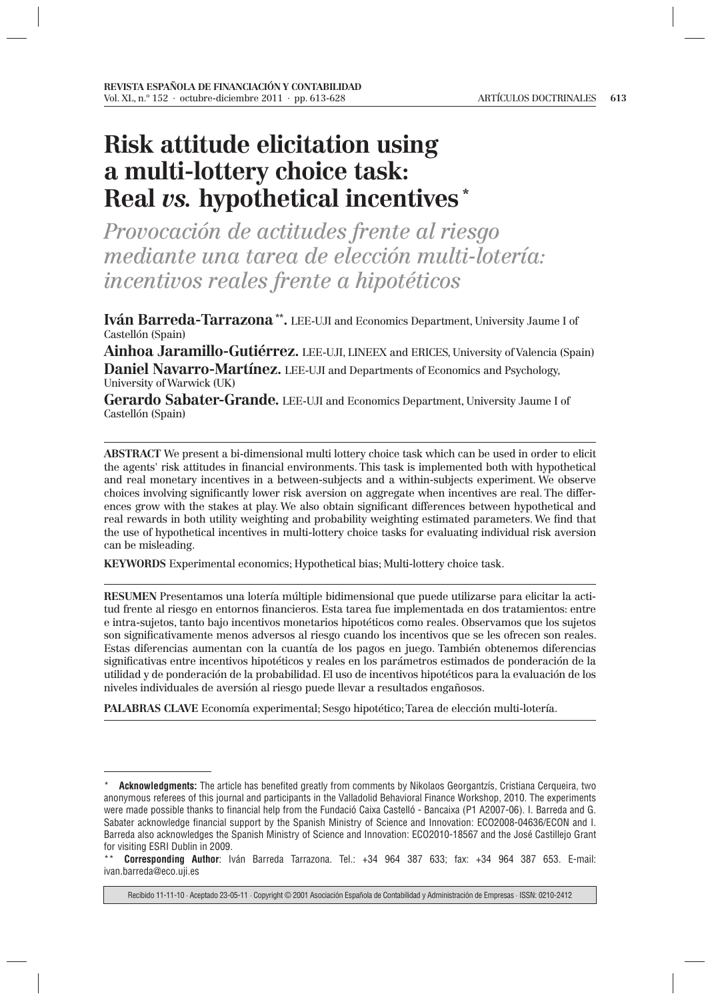# **Risk attitude elicitation using a multi-lottery choice task: Real** *vs.* **hypothetical incentives \***

*Provocación de actitudes frente al riesgo mediante una tarea de elección multi-lotería: incentivos reales frente a hipotéticos*

**Iván Barreda-Tarrazona \*\*.** LEE-UJI and Economics Department, University Jaume I of Castellón (Spain)

**Ainhoa Jaramillo-Gutiérrez.** LEE-UJI, LINEEX and ERICES, University of Valencia (Spain) **Daniel Navarro-Martínez.** LEE-UJI and Departments of Economics and Psychology, University of Warwick (UK)

**Gerardo Sabater-Grande.** LEE-UJI and Economics Department, University Jaume I of Castellón (Spain)

**ABSTRACT** We present a bi-dimensional multi lottery choice task which can be used in order to elicit the agents' risk attitudes in financial environments. This task is implemented both with hypothetical and real monetary incentives in a between-subjects and a within-subjects experiment. We observe choices involving significantly lower risk aversion on aggregate when incentives are real. The differences grow with the stakes at play. We also obtain significant differences between hypothetical and real rewards in both utility weighting and probability weighting estimated parameters. We find that the use of hypothetical incentives in multi-lottery choice tasks for evaluating individual risk aversion can be misleading.

**KEYWORDS** Experimental economics; Hypothetical bias; Multi-lottery choice task.

**RESUMEN** Presentamos una lotería múltiple bidimensional que puede utilizarse para elicitar la actitud frente al riesgo en entornos financieros. Esta tarea fue implementada en dos tratamientos: entre e intra-sujetos, tanto bajo incentivos monetarios hipotéticos como reales. Observamos que los sujetos son significativamente menos adversos al riesgo cuando los incentivos que se les ofrecen son reales. Estas diferencias aumentan con la cuantía de los pagos en juego. También obtenemos diferencias significativas entre incentivos hipotéticos y reales en los parámetros estimados de ponderación de la utilidad y de ponderación de la probabilidad. El uso de incentivos hipotéticos para la evaluación de los niveles individuales de aversión al riesgo puede llevar a resultados engañosos.

**PALABRAS CLAVE** Economía experimental; Sesgo hipotético; Tarea de elección multi-lotería.

Acknowledgments: The article has benefited greatly from comments by Nikolaos Georgantzís, Cristiana Cerqueira, two anonymous referees of this journal and participants in the Valladolid Behavioral Finance Workshop, 2010. The experiments were made possible thanks to financial help from the Fundació Caixa Castelló - Bancaixa (P1 A2007-06). I. Barreda and G. Sabater acknowledge financial support by the Spanish Ministry of Science and Innovation: ECO2008-04636/ECON and I. Barreda also acknowledges the Spanish Ministry of Science and Innovation: ECO2010-18567 and the José Castillejo Grant for visiting ESRI Dublin in 2009.

<sup>\*\*</sup> **Corresponding Author**: Iván Barreda Tarrazona. Tel.: +34 964 387 633; fax: +34 964 387 653. E-mail: ivan.barreda@eco.uji.es

Recibido 11-11-10 · Aceptado 23-05-11 · Copyright © 2001 Asociación Española de Contabilidad y Administración de Empresas · ISSN: 0210-2412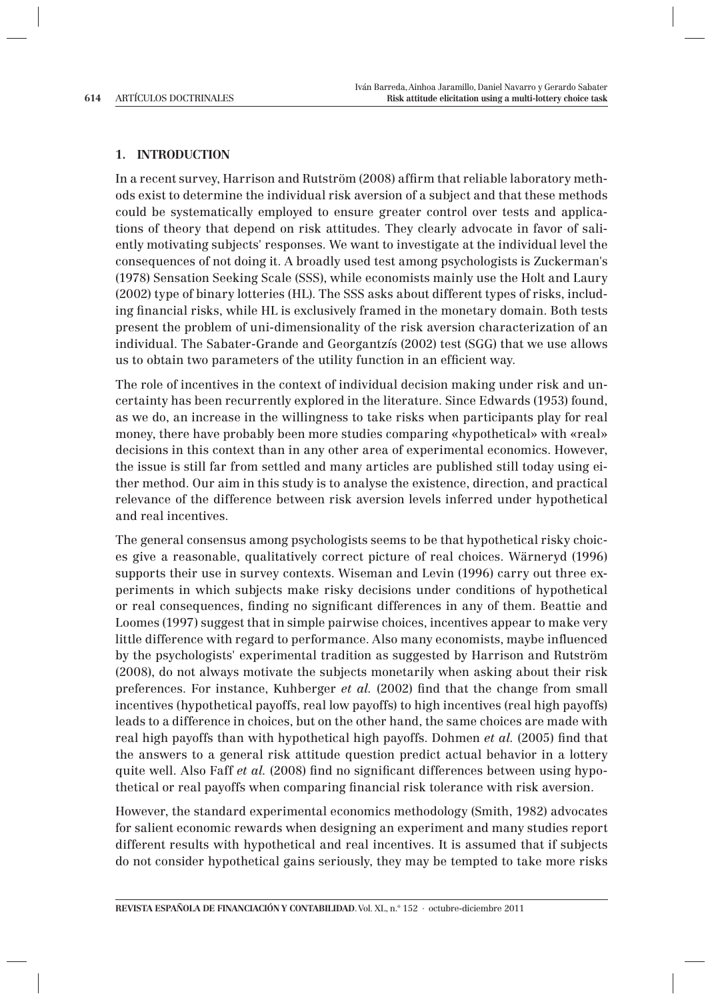### **1. INTRODUCTION**

In a recent survey, Harrison and Rutström (2008) affirm that reliable laboratory methods exist to determine the individual risk aversion of a subject and that these methods could be systematically employed to ensure greater control over tests and applications of theory that depend on risk attitudes. They clearly advocate in favor of saliently motivating subjects' responses. We want to investigate at the individual level the consequences of not doing it. A broadly used test among psychologists is Zuckerman's (1978) Sensation Seeking Scale (SSS), while economists mainly use the Holt and Laury (2002) type of binary lotteries (HL). The SSS asks about different types of risks, including financial risks, while HL is exclusively framed in the monetary domain. Both tests present the problem of uni-dimensionality of the risk aversion characterization of an individual. The Sabater-Grande and Georgantzís (2002) test (SGG) that we use allows us to obtain two parameters of the utility function in an efficient way.

The role of incentives in the context of individual decision making under risk and uncertainty has been recurrently explored in the literature. Since Edwards (1953) found, as we do, an increase in the willingness to take risks when participants play for real money, there have probably been more studies comparing «hypothetical» with «real» decisions in this context than in any other area of experimental economics. However, the issue is still far from settled and many articles are published still today using either method. Our aim in this study is to analyse the existence, direction, and practical relevance of the difference between risk aversion levels inferred under hypothetical and real incentives.

The general consensus among psychologists seems to be that hypothetical risky choices give a reasonable, qualitatively correct picture of real choices. Wärneryd (1996) supports their use in survey contexts. Wiseman and Levin (1996) carry out three experiments in which subjects make risky decisions under conditions of hypothetical or real consequences, finding no significant differences in any of them. Beattie and Loomes (1997) suggest that in simple pairwise choices, incentives appear to make very little difference with regard to performance. Also many economists, maybe influenced by the psychologists' experimental tradition as suggested by Harrison and Rutström (2008), do not always motivate the subjects monetarily when asking about their risk preferences. For instance, Kuhberger *et al.* (2002) find that the change from small incentives (hypothetical payoffs, real low payoffs) to high incentives (real high payoffs) leads to a difference in choices, but on the other hand, the same choices are made with real high payoffs than with hypothetical high payoffs. Dohmen *et al.* (2005) find that the answers to a general risk attitude question predict actual behavior in a lottery quite well. Also Faff *et al.* (2008) find no significant differences between using hypothetical or real payoffs when comparing financial risk tolerance with risk aversion.

However, the standard experimental economics methodology (Smith, 1982) advocates for salient economic rewards when designing an experiment and many studies report different results with hypothetical and real incentives. It is assumed that if subjects do not consider hypothetical gains seriously, they may be tempted to take more risks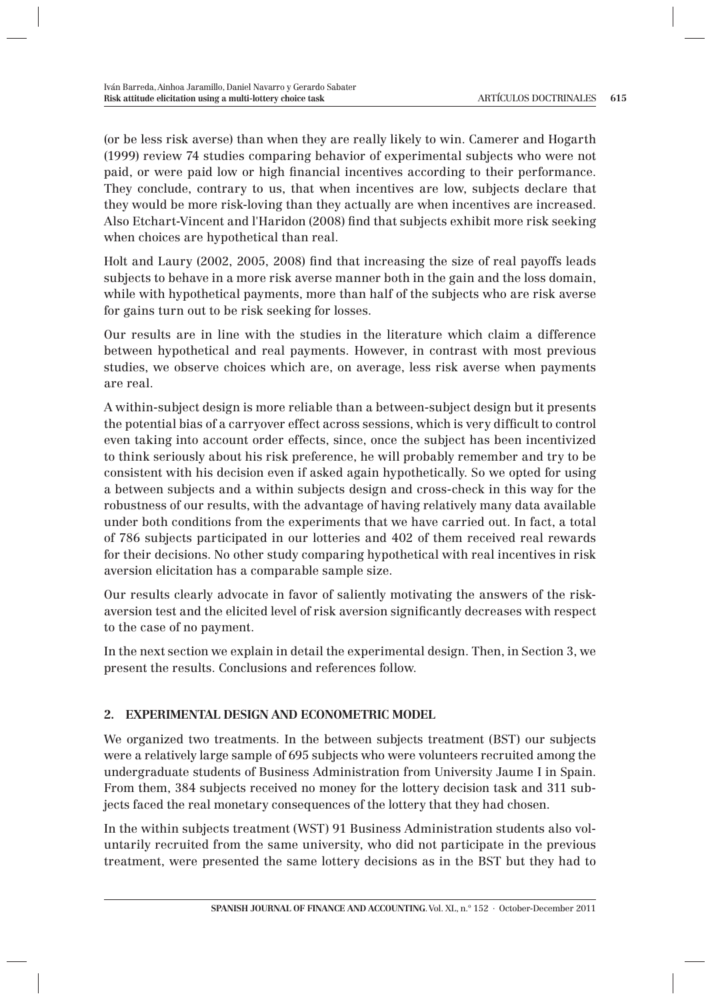(or be less risk averse) than when they are really likely to win. Camerer and Hogarth (1999) review 74 studies comparing behavior of experimental subjects who were not paid, or were paid low or high financial incentives according to their performance. They conclude, contrary to us, that when incentives are low, subjects declare that they would be more risk-loving than they actually are when incentives are increased. Also Etchart-Vincent and l'Haridon (2008) find that subjects exhibit more risk seeking when choices are hypothetical than real.

Holt and Laury (2002, 2005, 2008) find that increasing the size of real payoffs leads subjects to behave in a more risk averse manner both in the gain and the loss domain, while with hypothetical payments, more than half of the subjects who are risk averse for gains turn out to be risk seeking for losses.

Our results are in line with the studies in the literature which claim a difference between hypothetical and real payments. However, in contrast with most previous studies, we observe choices which are, on average, less risk averse when payments are real.

A within-subject design is more reliable than a between-subject design but it presents the potential bias of a carryover effect across sessions, which is very difficult to control even taking into account order effects, since, once the subject has been incentivized to think seriously about his risk preference, he will probably remember and try to be consistent with his decision even if asked again hypothetically. So we opted for using a between subjects and a within subjects design and cross-check in this way for the robustness of our results, with the advantage of having relatively many data available under both conditions from the experiments that we have carried out. In fact, a total of 786 subjects participated in our lotteries and 402 of them received real rewards for their decisions. No other study comparing hypothetical with real incentives in risk aversion elicitation has a comparable sample size.

Our results clearly advocate in favor of saliently motivating the answers of the riskaversion test and the elicited level of risk aversion significantly decreases with respect to the case of no payment.

In the next section we explain in detail the experimental design. Then, in Section 3, we present the results. Conclusions and references follow.

# **2. EXPERIMENTAL DESIGN AND ECONOMETRIC MODEL**

We organized two treatments. In the between subjects treatment (BST) our subjects were a relatively large sample of 695 subjects who were volunteers recruited among the undergraduate students of Business Administration from University Jaume I in Spain. From them, 384 subjects received no money for the lottery decision task and 311 subjects faced the real monetary consequences of the lottery that they had chosen.

In the within subjects treatment (WST) 91 Business Administration students also voluntarily recruited from the same university, who did not participate in the previous treatment, were presented the same lottery decisions as in the BST but they had to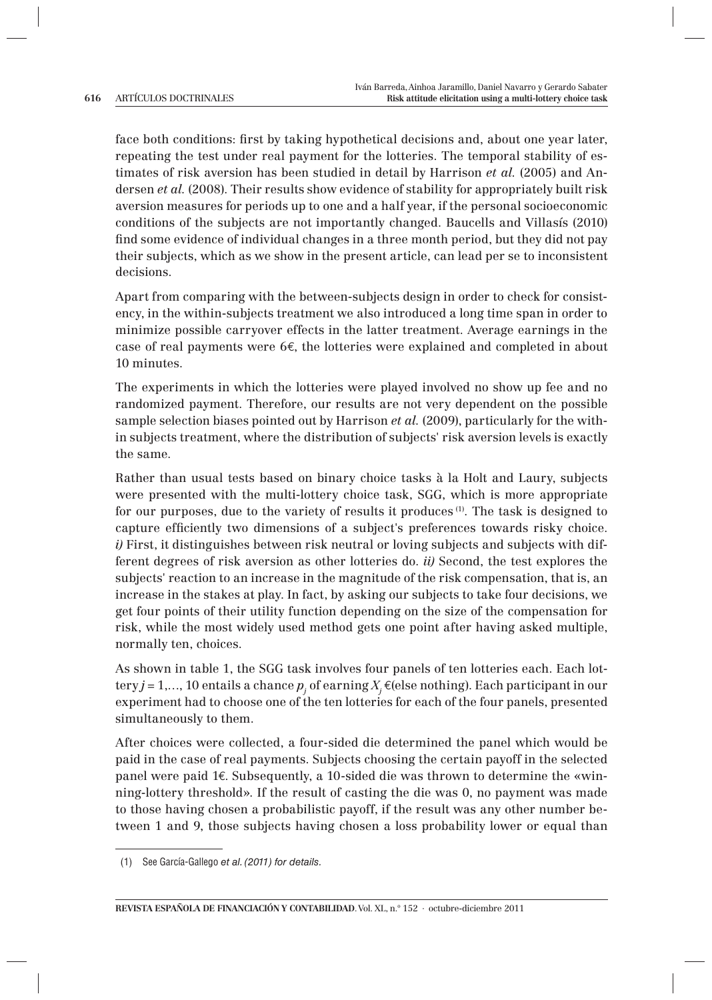face both conditions: first by taking hypothetical decisions and, about one year later, repeating the test under real payment for the lotteries. The temporal stability of estimates of risk aversion has been studied in detail by Harrison *et al.* (2005) and Andersen *et al.* (2008). Their results show evidence of stability for appropriately built risk aversion measures for periods up to one and a half year, if the personal socioeconomic conditions of the subjects are not importantly changed. Baucells and Villasís (2010) find some evidence of individual changes in a three month period, but they did not pay their subjects, which as we show in the present article, can lead per se to inconsistent decisions.

Apart from comparing with the between-subjects design in order to check for consistency, in the within-subjects treatment we also introduced a long time span in order to minimize possible carryover effects in the latter treatment. Average earnings in the case of real payments were 6€, the lotteries were explained and completed in about 10 minutes.

The experiments in which the lotteries were played involved no show up fee and no randomized payment. Therefore, our results are not very dependent on the possible sample selection biases pointed out by Harrison *et al.* (2009), particularly for the within subjects treatment, where the distribution of subjects' risk aversion levels is exactly the same.

Rather than usual tests based on binary choice tasks à la Holt and Laury, subjects were presented with the multi-lottery choice task, SGG, which is more appropriate for our purposes, due to the variety of results it produces <sup>(1)</sup>. The task is designed to capture efficiently two dimensions of a subject's preferences towards risky choice. *i)* First, it distinguishes between risk neutral or loving subjects and subjects with different degrees of risk aversion as other lotteries do. *ii)* Second, the test explores the subjects' reaction to an increase in the magnitude of the risk compensation, that is, an increase in the stakes at play. In fact, by asking our subjects to take four decisions, we get four points of their utility function depending on the size of the compensation for risk, while the most widely used method gets one point after having asked multiple, normally ten, choices.

As shown in table 1, the SGG task involves four panels of ten lotteries each. Each lottery *j* = 1,..., 10 entails a chance  $p_i$  of earning  $X_i \in \{e \leq e \leq 1\}$ . Each participant in our experiment had to choose one of the ten lotteries for each of the four panels, presented simultaneously to them.

After choices were collected, a four-sided die determined the panel which would be paid in the case of real payments. Subjects choosing the certain payoff in the selected panel were paid 1€. Subsequently, a 10-sided die was thrown to determine the «winning-lottery threshold». If the result of casting the die was 0, no payment was made to those having chosen a probabilistic payoff, if the result was any other number between 1 and 9, those subjects having chosen a loss probability lower or equal than

 <sup>(1)</sup> See García-Gallego et al. (2011) for details.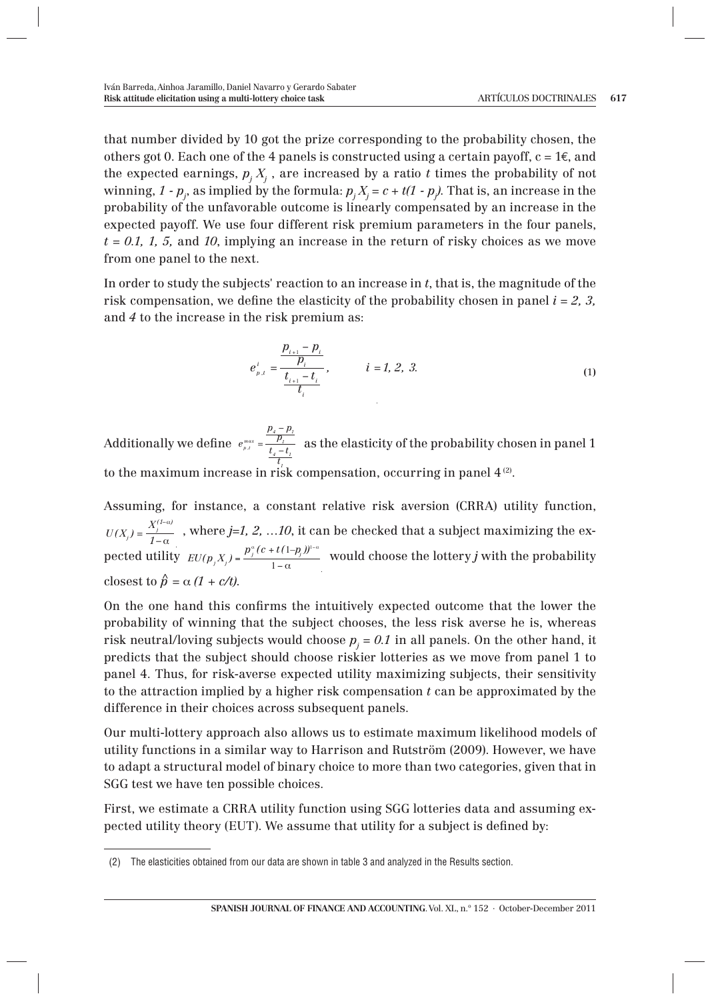that number divided by 10 got the prize corresponding to the probability chosen, the others got 0. Each one of the 4 panels is constructed using a certain payoff,  $c = 1 \epsilon$ , and the expected earnings,  $p_j \, X_j$  , are increased by a ratio  $t$  times the probability of not winning, 1 -  $p_j$ , as implied by the formula:  $p_j X_j = c + t(1 - p_j)$ . That is, an increase in the probability of the unfavorable outcome is linearly compensated by an increase in the expected payoff. We use four different risk premium parameters in the four panels,  $t = 0.1, 1, 5$ , and 10, implying an increase in the return of risky choices as we move from one panel to the next.

In order to study the subjects' reaction to an increase in *t*, that is, the magnitude of the risk compensation, we define the elasticity of the probability chosen in panel  $i = 2, 3$ , and *4* to the increase in the risk premium as:

$$
e_{p,t}^{i} = \frac{\frac{p_{i+1} - p_i}{p_i}}{\frac{t_{i+1} - t_i}{t_i}}, \qquad i = 1, 2, 3.
$$
 (1)

Additionally we define  $e_{\tiny{\rho,t}}^{\tiny{\textit{max}}}$  =  $\frac{p_4 - p_1}{p_1}$  $\frac{p_i}{t_i - t_i}$  as the elasticity of the probability chosen in panel 1 t<sub>1</sub><br>
to the maximum increase in risk compensation, occurring in panel 4 <sup>(2)</sup>.

Assuming, for instance, a constant relative risk aversion (CRRA) utility function,  $U(X_j) = \frac{X_j^{(1-\alpha)}}{1-\alpha}$ , where *j=1, 2, …10*, it can be checked that a subject maximizing the expected utility  $EU(p_j X_j) = \frac{p_j^n (c + t(1-p_j))^{1-\alpha}}{1-\alpha}$  would choose the lottery *j* with the probability closest to  $\hat{p} = \alpha (1 + c/t)$ .

On the one hand this confirms the intuitively expected outcome that the lower the probability of winning that the subject chooses, the less risk averse he is, whereas risk neutral/loving subjects would choose  $p_j$  = 0.1 in all panels. On the other hand, it predicts that the subject should choose riskier lotteries as we move from panel 1 to panel 4. Thus, for risk-averse expected utility maximizing subjects, their sensitivity to the attraction implied by a higher risk compensation *t* can be approximated by the difference in their choices across subsequent panels.

Our multi-lottery approach also allows us to estimate maximum likelihood models of utility functions in a similar way to Harrison and Rutström (2009). However, we have to adapt a structural model of binary choice to more than two categories, given that in SGG test we have ten possible choices.

First, we estimate a CRRA utility function using SGG lotteries data and assuming expected utility theory (EUT). We assume that utility for a subject is defined by:

 <sup>(2)</sup> The elasticities obtained from our data are shown in table 3 and analyzed in the Results section.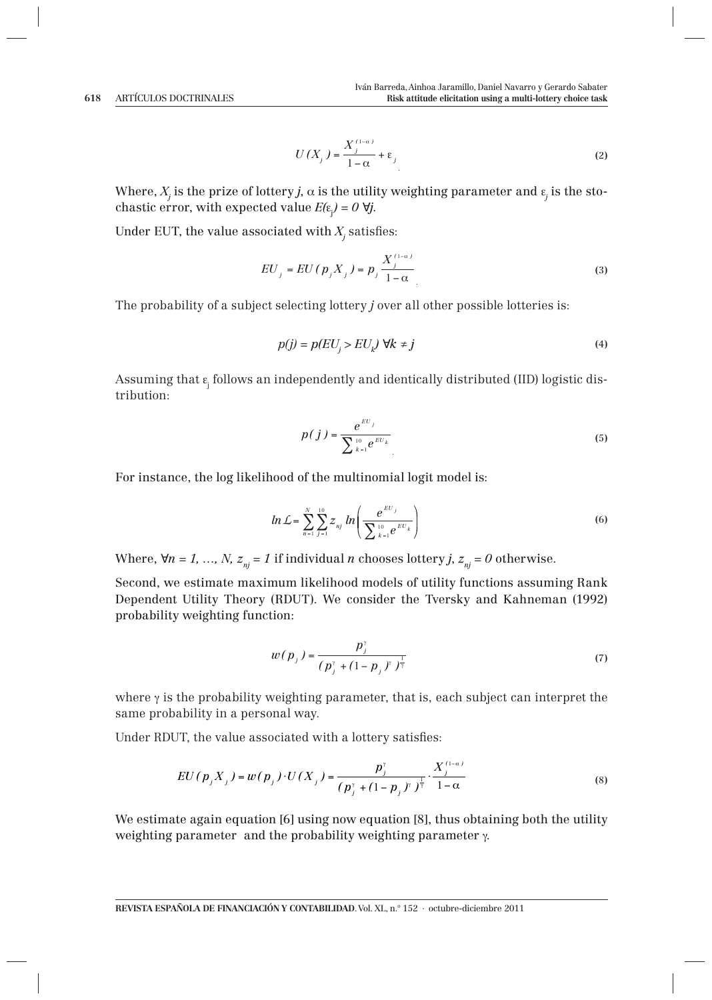$$
U(X_j) = \frac{X_j^{(1-\alpha)}}{1-\alpha} + \varepsilon_j
$$
 (2)

Where,  $X_j$  is the prize of lottery  $j$ ,  $\alpha$  is the utility weighting parameter and  $\varepsilon_j$  is the stochastic error, with expected value  $E(\varepsilon_j) = 0$   $\forall j$ .

Under EUT, the value associated with  $X_i$  satisfies:

$$
EU_j = EU(p_j X_j) = p_j \frac{X_j^{(1-\alpha)}}{1-\alpha}
$$
\n(3)

The probability of a subject selecting lottery *j* over all other possible lotteries is:

$$
p(j) = p(EU_j > EU_k) \ \forall k \neq j \tag{4}
$$

Assuming that  $\epsilon_{\rm j}$  follows an independently and identically distributed (IID) logistic distribution:

$$
p(j) = \frac{e^{EU_j}}{\sum_{k=1}^{10} e^{EU_k}}
$$
 (5)

For instance, the log likelihood of the multinomial logit model is:

$$
ln L = \sum_{n=1}^{N} \sum_{j=1}^{10} z_{nj} ln \left( \frac{e^{EU_j}}{\sum_{k=1}^{10} e^{EU_k}} \right)
$$
 (6)

Where,  $\forall n = 1, ..., N$ ,  $z_{ni} = 1$  if individual *n* chooses lottery *j*,  $z_{ni} = 0$  otherwise.

Second, we estimate maximum likelihood models of utility functions assuming Rank Dependent Utility Theory (RDUT). We consider the Tversky and Kahneman (1992) probability weighting function:

$$
w(p_j) = \frac{p_j^{\gamma}}{(p_j^{\gamma} + (1 - p_j)^{\gamma})^{\frac{1}{\gamma}}}
$$
 (7)

where  $\gamma$  is the probability weighting parameter, that is, each subject can interpret the same probability in a personal way.

Under RDUT, the value associated with a lottery satisfies:

$$
EU(p_j X_j) = w(p_j) \cdot U(X_j) = \frac{p_j^{\nu}}{(p_j^{\nu} + (1 - p_j)^{\nu})^{\frac{1}{\nu}}} \cdot \frac{X_j^{(1-\alpha)}}{1-\alpha}
$$
(8)

We estimate again equation [6] using now equation [8], thus obtaining both the utility weighting parameter and the probability weighting parameter γ.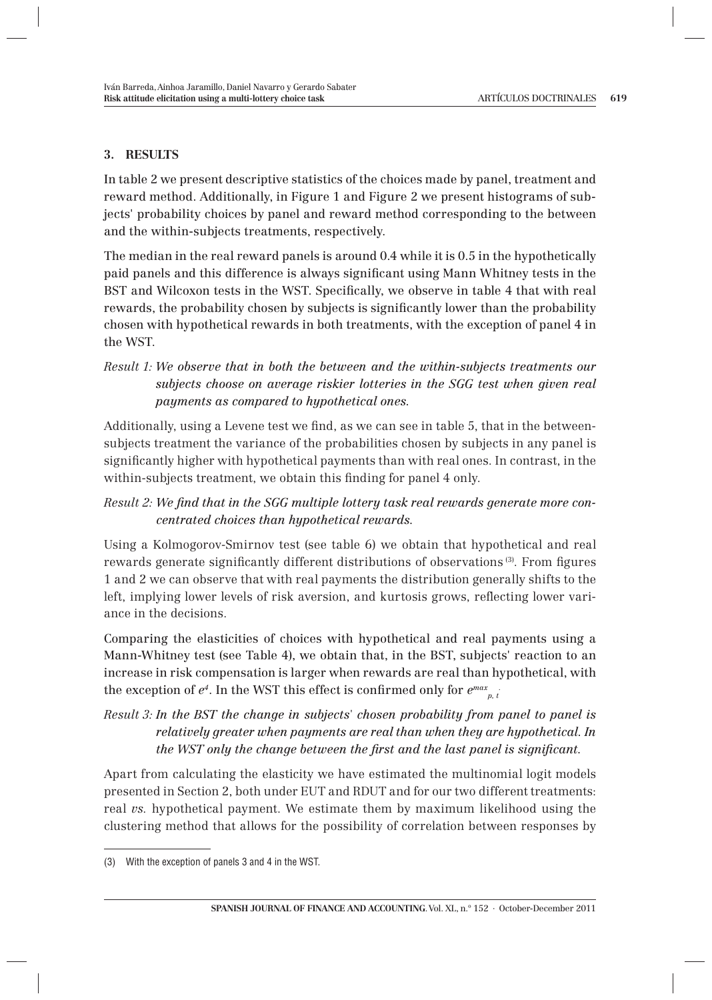### **3. RESULTS**

In table 2 we present descriptive statistics of the choices made by panel, treatment and reward method. Additionally, in Figure 1 and Figure 2 we present histograms of subjects' probability choices by panel and reward method corresponding to the between and the within-subjects treatments, respectively.

The median in the real reward panels is around 0.4 while it is 0.5 in the hypothetically paid panels and this difference is always significant using Mann Whitney tests in the BST and Wilcoxon tests in the WST. Specifically, we observe in table 4 that with real rewards, the probability chosen by subjects is significantly lower than the probability chosen with hypothetical rewards in both treatments, with the exception of panel 4 in the WST.

Additionally, using a Levene test we find, as we can see in table 5, that in the betweensubjects treatment the variance of the probabilities chosen by subjects in any panel is significantly higher with hypothetical payments than with real ones. In contrast, in the within-subjects treatment, we obtain this finding for panel 4 only.

# Result 2: We find that in the SGG multiple lottery task real rewards generate more con*centrated choices than hypothetical rewards.*

Using a Kolmogorov-Smirnov test (see table 6) we obtain that hypothetical and real rewards generate significantly different distributions of observations (3). From figures 1 and 2 we can observe that with real payments the distribution generally shifts to the left, implying lower levels of risk aversion, and kurtosis grows, reflecting lower variance in the decisions.

Comparing the elasticities of choices with hypothetical and real payments using a Mann-Whitney test (see Table 4), we obtain that, in the BST, subjects' reaction to an increase in risk compensation is larger when rewards are real than hypothetical, with the exception of  $e^{\iota}$ . In the WST this effect is confirmed only for  $e^{max}_{\substack{p, t}}$ 

# *Result 3:**In the BST the change in subjects' chosen probability from panel to panel is relatively greater when payments are real than when they are hypothetical. In the WST only the change between the first and the last panel is significant.*

Apart from calculating the elasticity we have estimated the multinomial logit models presented in Section 2, both under EUT and RDUT and for our two different treatments: real *vs.* hypothetical payment. We estimate them by maximum likelihood using the clustering method that allows for the possibility of correlation between responses by

*Result 1:**We observe that in both the between and the within-subjects treatments our subjects choose on average riskier lotteries in the SGG test when given real payments as compared to hypothetical ones.*

<sup>(3)</sup> With the exception of panels 3 and 4 in the WST.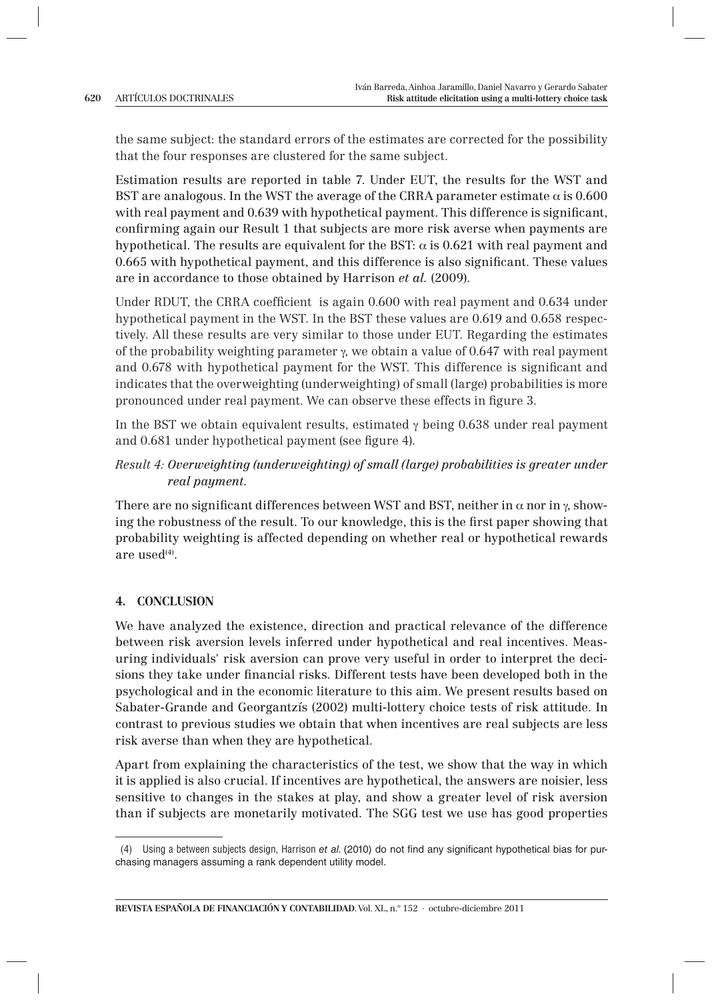the same subject: the standard errors of the estimates are corrected for the possibility that the four responses are clustered for the same subject.

Estimation results are reported in table 7. Under EUT, the results for the WST and BST are analogous. In the WST the average of the CRRA parameter estimate  $\alpha$  is 0.600 with real payment and 0.639 with hypothetical payment. This difference is significant, confirming again our Result 1 that subjects are more risk averse when payments are hypothetical. The results are equivalent for the BST:  $\alpha$  is 0.621 with real payment and 0.665 with hypothetical payment, and this difference is also significant. These values are in accordance to those obtained by Harrison *et al.* (2009).

Under RDUT, the CRRA coefficient is again  $0.600$  with real payment and  $0.634$  under hypothetical payment in the WST. In the BST these values are 0.619 and 0.658 respectively. All these results are very similar to those under EUT. Regarding the estimates of the probability weighting parameter  $\gamma$ , we obtain a value of 0.647 with real payment and 0.678 with hypothetical payment for the WST. This difference is significant and indicates that the overweighting (underweighting) of small (large) probabilities is more pronounced under real payment. We can observe these effects in figure 3.

In the BST we obtain equivalent results, estimated  $\gamma$  being 0.638 under real payment and 0.681 under hypothetical payment (see figure 4).

# *Result 4:**Overweighting (underweighting) of small (large) probabilities is greater under real payment.*

There are no significant differences between WST and BST, neither in  $\alpha$  nor in  $\gamma$ , showing the robustness of the result. To our knowledge, this is the first paper showing that probability weighting is affected depending on whether real or hypothetical rewards are used<sup>(4)</sup>.

### **4. CONCLUSION**

We have analyzed the existence, direction and practical relevance of the difference between risk aversion levels inferred under hypothetical and real incentives. Measuring individuals' risk aversion can prove very useful in order to interpret the decisions they take under financial risks. Different tests have been developed both in the psychological and in the economic literature to this aim. We present results based on Sabater-Grande and Georgantzís (2002) multi-lottery choice tests of risk attitude. In contrast to previous studies we obtain that when incentives are real subjects are less risk averse than when they are hypothetical.

Apart from explaining the characteristics of the test, we show that the way in which it is applied is also crucial. If incentives are hypothetical, the answers are noisier, less sensitive to changes in the stakes at play, and show a greater level of risk aversion than if subjects are monetarily motivated. The SGG test we use has good properties

<sup>(4)</sup> Using a between subjects design, Harrison et al. (2010) do not find any significant hypothetical bias for purchasing managers assuming a rank dependent utility model.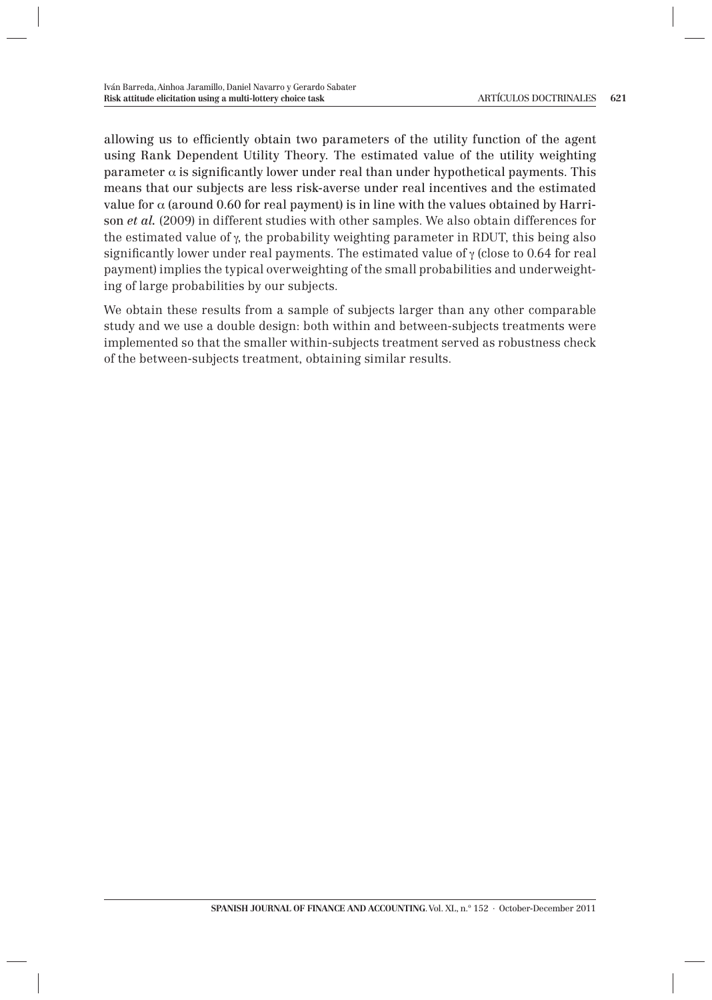allowing us to efficiently obtain two parameters of the utility function of the agent using Rank Dependent Utility Theory. The estimated value of the utility weighting parameter  $\alpha$  is significantly lower under real than under hypothetical payments. This means that our subjects are less risk-averse under real incentives and the estimated value for  $\alpha$  (around 0.60 for real payment) is in line with the values obtained by Harrison *et al.* (2009) in different studies with other samples. We also obtain differences for the estimated value of  $\gamma$ , the probability weighting parameter in RDUT, this being also significantly lower under real payments. The estimated value of  $\gamma$  (close to 0.64 for real payment) implies the typical overweighting of the small probabilities and underweighting of large probabilities by our subjects.

We obtain these results from a sample of subjects larger than any other comparable study and we use a double design: both within and between-subjects treatments were implemented so that the smaller within-subjects treatment served as robustness check of the between-subjects treatment, obtaining similar results.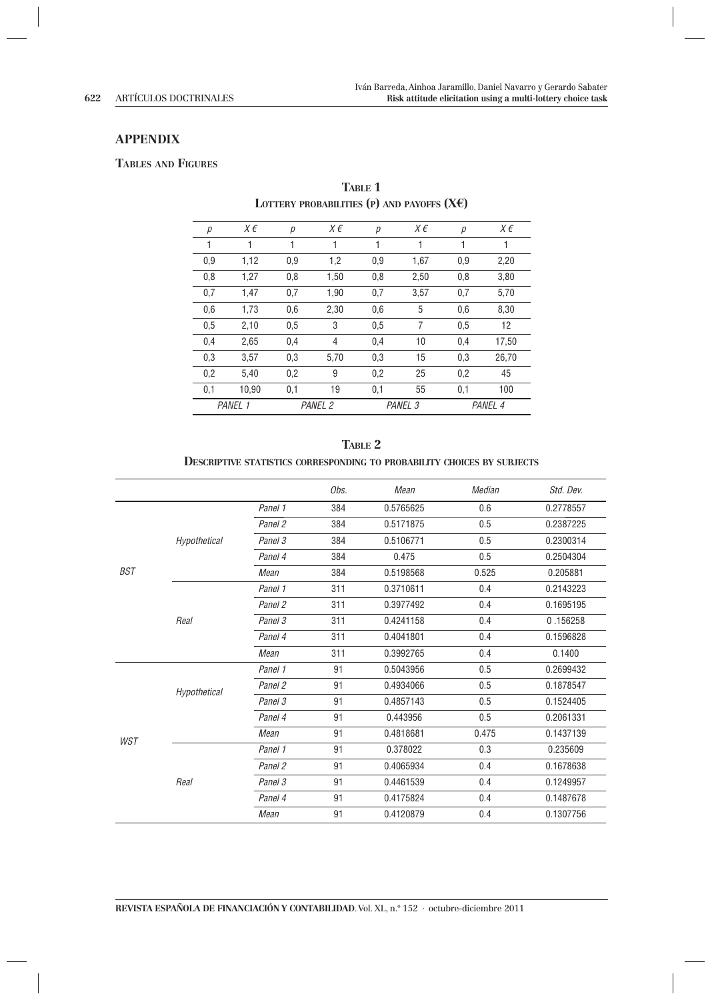#### **APPENDIX**

#### **TABLES AND FIGURES**

| р   | $X \in$ | р   | X€      | р   | X€                 | р   | X€      |
|-----|---------|-----|---------|-----|--------------------|-----|---------|
| 1   | 1       | 1   | 1       | 1   | 1                  | 1   | 1       |
| 0,9 | 1,12    | 0.9 | 1,2     | 0,9 | 1,67               | 0.9 | 2,20    |
| 0,8 | 1,27    | 0,8 | 1,50    | 0,8 | 2,50               | 0,8 | 3,80    |
| 0,7 | 1.47    | 0,7 | 1,90    | 0,7 | 3,57               | 0,7 | 5,70    |
| 0,6 | 1,73    | 0,6 | 2,30    | 0,6 | 5                  | 0,6 | 8,30    |
| 0.5 | 2,10    | 0.5 | 3       | 0.5 | 7                  | 0.5 | 12      |
| 0,4 | 2,65    | 0,4 | 4       | 0,4 | 10                 | 0,4 | 17,50   |
| 0,3 | 3,57    | 0.3 | 5,70    | 0,3 | 15                 | 0.3 | 26,70   |
| 0,2 | 5.40    | 0,2 | 9       | 0,2 | 25                 | 0,2 | 45      |
| 0,1 | 10,90   | 0,1 | 19      | 0,1 | 55                 | 0,1 | 100     |
|     | PANEL 1 |     | PANEL 2 |     | PANEL <sub>3</sub> |     | PANEL 4 |

**TABLE 1 LOTTERY PROBABILITIES (P) AND PAYOFFS (X€)**

| TARLE 2                                                                        |
|--------------------------------------------------------------------------------|
| <b>DESCRIPTIVE STATISTICS CORRESPONDING TO PROBABILITY CHOICES BY SUBJECTS</b> |

|     |              |         | Obs. | Mean      | Median | Std. Dev. |
|-----|--------------|---------|------|-----------|--------|-----------|
|     |              | Panel 1 | 384  | 0.5765625 | 0.6    | 0.2778557 |
|     |              | Panel 2 | 384  | 0.5171875 | 0.5    | 0.2387225 |
|     | Hypothetical | Panel 3 | 384  | 0.5106771 | 0.5    | 0.2300314 |
|     |              | Panel 4 | 384  | 0.475     | 0.5    | 0.2504304 |
| BST |              | Mean    | 384  | 0.5198568 | 0.525  | 0.205881  |
|     |              | Panel 1 | 311  | 0.3710611 | 0.4    | 0.2143223 |
|     |              | Panel 2 | 311  | 0.3977492 | 0.4    | 0.1695195 |
|     | Real         | Panel 3 | 311  | 0.4241158 | 0.4    | 0.156258  |
|     |              | Panel 4 | 311  | 0.4041801 | 0.4    | 0.1596828 |
|     |              | Mean    | 311  | 0.3992765 | 0.4    | 0.1400    |
|     | Hypothetical | Panel 1 | 91   | 0.5043956 | 0.5    | 0.2699432 |
|     |              | Panel 2 | 91   | 0.4934066 | 0.5    | 0.1878547 |
|     |              | Panel 3 | 91   | 0.4857143 | 0.5    | 0.1524405 |
|     |              | Panel 4 | 91   | 0.443956  | 0.5    | 0.2061331 |
|     |              | Mean    | 91   | 0.4818681 | 0.475  | 0.1437139 |
| WST |              | Panel 1 | 91   | 0.378022  | 0.3    | 0.235609  |
|     |              | Panel 2 | 91   | 0.4065934 | 0.4    | 0.1678638 |
|     | Real         | Panel 3 | 91   | 0.4461539 | 0.4    | 0.1249957 |
|     |              | Panel 4 | 91   | 0.4175824 | 0.4    | 0.1487678 |
|     |              | Mean    | 91   | 0.4120879 | 0.4    | 0.1307756 |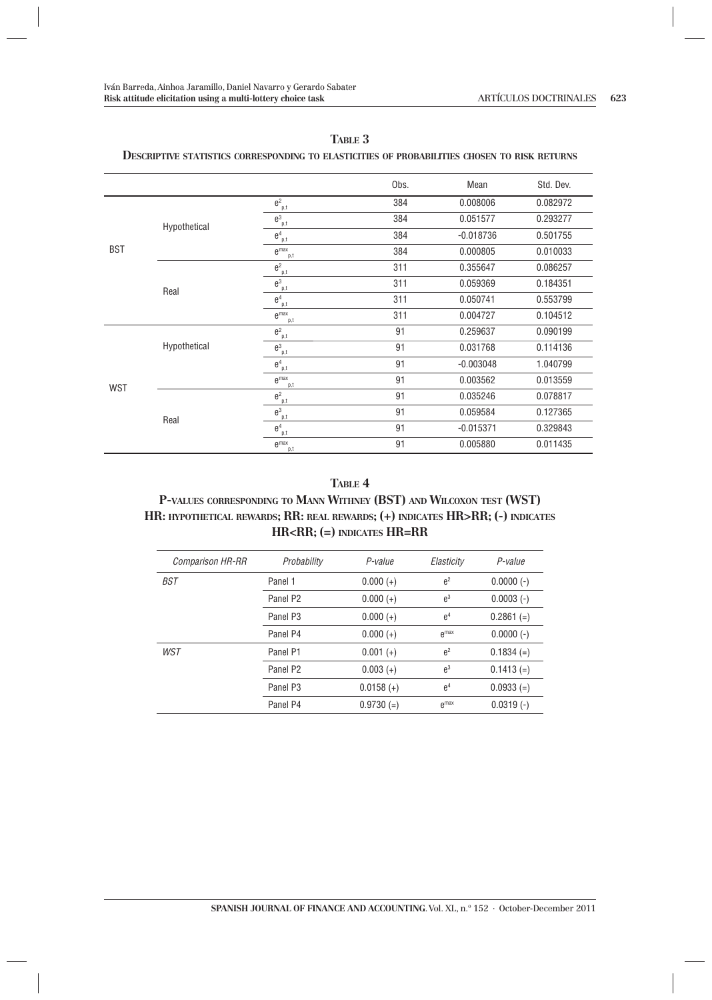|            |              |                                                       | Obs. | Mean        | Std. Dev. |
|------------|--------------|-------------------------------------------------------|------|-------------|-----------|
|            |              | $\boldsymbol{\theta}_{\underline{\phantom{a}} p,t}^2$ | 384  | 0.008006    | 0.082972  |
|            | Hypothetical | $\mathbf{\theta}^3_{\underline{\mathbf{p}},t}$        | 384  | 0.051577    | 0.293277  |
|            |              | e <sup>4</sup><br>p,t                                 | 384  | $-0.018736$ | 0.501755  |
| <b>BST</b> |              | $e^{max}$<br>p,t                                      | 384  | 0.000805    | 0.010033  |
|            |              | $e^2$<br>p,t                                          | 311  | 0.355647    | 0.086257  |
|            | Real         | $e^3$<br>p,t                                          | 311  | 0.059369    | 0.184351  |
|            |              | e <sup>4</sup><br>p,t                                 | 311  | 0.050741    | 0.553799  |
|            |              | $e$ <sup>max</sup><br>p,t                             | 311  | 0.004727    | 0.104512  |
|            |              | $e^2$<br>p,t                                          | 91   | 0.259637    | 0.090199  |
|            | Hypothetical | $e^3$<br>p,t                                          | 91   | 0.031768    | 0.114136  |
|            |              | $\boldsymbol{\theta}^4_{\underline{\ p},t}$           | 91   | $-0.003048$ | 1.040799  |
| <b>WST</b> |              | $e^{max}$<br>p,t                                      | 91   | 0.003562    | 0.013559  |
|            |              | $e^2$<br>p,t                                          | 91   | 0.035246    | 0.078817  |
|            | Real         | $e^3$<br>p,t                                          | 91   | 0.059584    | 0.127365  |
|            |              | e <sup>4</sup><br>p,t                                 | 91   | $-0.015371$ | 0.329843  |
|            |              | $e^{max}$<br>p,t                                      | 91   | 0.005880    | 0.011435  |

#### **TABLE 3**

### **DESCRIPTIVE STATISTICS CORRESPONDING TO ELASTICITIES OF PROBABILITIES CHOSEN TO RISK RETURNS**

#### **TABLE 4**

### **P-VALUES CORRESPONDING TO MANN WITHNEY (BST) AND WILCOXON TEST (WST) HR: HYPOTHETICAL REWARDS; RR: REAL REWARDS; (+) INDICATES HR>RR; (-) INDICATES HR<RR; (=) INDICATES HR=RR**

| <b>Comparison HR-RR</b> | Probability          | P-value      | Elasticity     | P-value      |
|-------------------------|----------------------|--------------|----------------|--------------|
| BST                     | Panel 1              | $0.000 (+)$  | e <sup>2</sup> | $0.0000(-)$  |
|                         | Panel P <sub>2</sub> | $0.000 (+)$  | $e^3$          | $0.0003(-)$  |
|                         | Panel P <sub>3</sub> | $0.000 (+)$  | e <sup>4</sup> | $0.2861 (=)$ |
|                         | Panel P4             | $0.000 (+)$  | $\rho$ max     | $0.0000(-)$  |
| WST                     | Panel P1             | $0.001 (+)$  | e <sup>2</sup> | $0.1834 (=)$ |
|                         | Panel P <sub>2</sub> | $0.003 (+)$  | $e^3$          | $0.1413 (=)$ |
|                         | Panel P <sub>3</sub> | $0.0158 (+)$ | e <sup>4</sup> | $0.0933 (=)$ |
|                         | Panel P4             | $0.9730 (=)$ | $e^{max}$      | $0.0319(-)$  |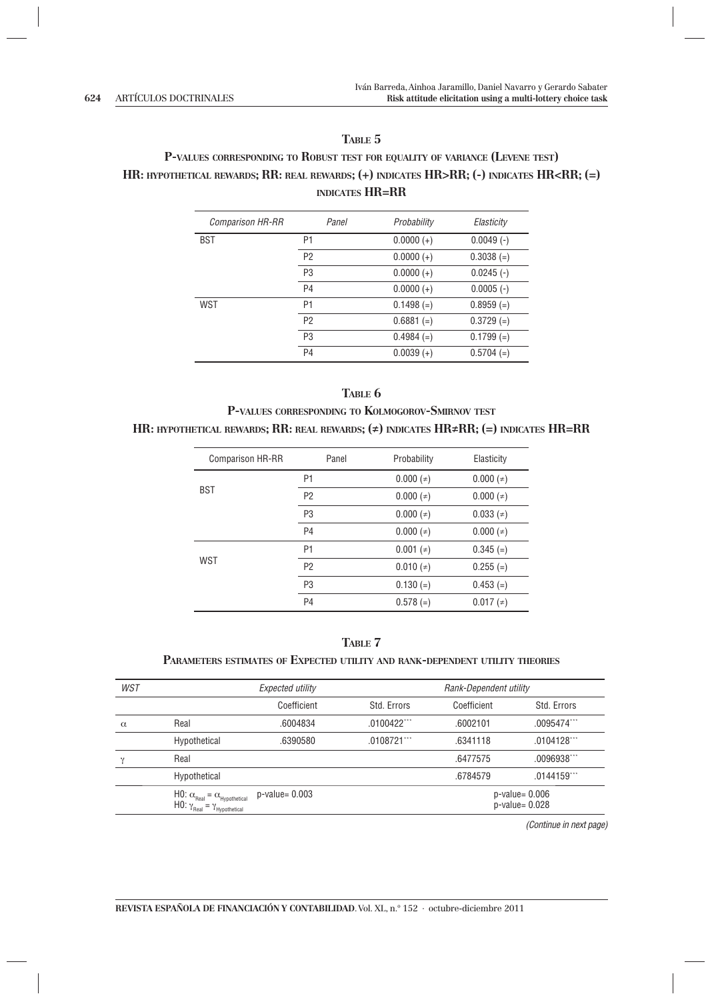### **TABLE 5**

# **P-VALUES CORRESPONDING TO ROBUST TEST FOR EQUALITY OF VARIANCE (LEVENE TEST) HR: HYPOTHETICAL REWARDS; RR: REAL REWARDS; (+) INDICATES HR>RR; (-) INDICATES HR<RR; (=) INDICATES HR=RR**

| <b>Comparison HR-RR</b> | Panel          | Probability  | Elasticity   |
|-------------------------|----------------|--------------|--------------|
| BST                     | P1             | $0.0000 (+)$ | $0.0049(-)$  |
|                         | P <sub>2</sub> | $0.0000 (+)$ | $0.3038 (=)$ |
|                         | P <sub>3</sub> | $0.0000 (+)$ | $0.0245$ (-) |
|                         | P <sub>4</sub> | $0.0000 (+)$ | $0.0005(-)$  |
| WST                     | P1             | $0.1498 (=)$ | $0.8959 (=)$ |
|                         | P <sub>2</sub> | $0.6881 (=)$ | $0.3729 (=)$ |
|                         | P <sub>3</sub> | $0.4984 (=)$ | $0.1799 (=)$ |
|                         | P4             | $0.0039 (+)$ | $0.5704 (=)$ |

# **TABLE 6 P-VALUES CORRESPONDING TO KOLMOGOROV-SMIRNOV TEST HR: HYPOTHETICAL REWARDS; RR: REAL REWARDS; (≠) INDICATES HR≠RR; (=) INDICATES HR=RR**

| <b>Comparison HR-RR</b> | Panel          | Probability         | Elasticity                                                                                                  |
|-------------------------|----------------|---------------------|-------------------------------------------------------------------------------------------------------------|
|                         | P <sub>1</sub> | $0.000 (=)$         | $0.000 (=$                                                                                                  |
| <b>BST</b>              | P <sub>2</sub> | $0.000($ $\neq$ $)$ | $0.000 (\neq)$                                                                                              |
|                         | P <sub>3</sub> | $0.000($ $\neq$ $)$ | $0.033$ ( $\neq$ )                                                                                          |
|                         | P <sub>4</sub> | $0.000($ $\neq$ $)$ | $0.000 (\neq)$                                                                                              |
|                         | P <sub>1</sub> | $0.001$ ( $\neq$ )  | $0.345 (=)$<br>$0.010(*)$<br>$0.255 (=)$<br>$0.130 (=)$<br>$0.453 (=)$<br>$0.578 (=)$<br>$0.017$ ( $\neq$ ) |
| <b>WST</b>              | P <sub>2</sub> |                     |                                                                                                             |
|                         | P <sub>3</sub> |                     |                                                                                                             |
|                         | P <sub>4</sub> |                     |                                                                                                             |

### **TABLE 7**

#### **PARAMETERS ESTIMATES OF EXPECTED UTILITY AND RANK-DEPENDENT UTILITY THEORIES**

| <b>WST</b>                                                                                                             |              | Expected utility  |             | Rank-Dependent utility |                                          |  |
|------------------------------------------------------------------------------------------------------------------------|--------------|-------------------|-------------|------------------------|------------------------------------------|--|
|                                                                                                                        |              | Coefficient       | Std. Errors | Coefficient            | Std. Errors                              |  |
| $\alpha$                                                                                                               | Real         | .6004834          | .0100422    | .6002101               | .0095474                                 |  |
|                                                                                                                        | Hypothetical | .6390580          | .0108721    | .6341118               | .0104128                                 |  |
| $\sim$                                                                                                                 | Real         |                   |             | .6477575               | .0096938                                 |  |
|                                                                                                                        | Hypothetical |                   |             | .6784579               | .0144159                                 |  |
| $H0: \alpha_{\text{Real}} = \alpha_{\text{Hypothetical}}$<br>HO: $\gamma_{\text{Real}} = \gamma_{\text{Hypothetical}}$ |              | $p$ -value= 0.003 |             |                        | $p$ -value= 0.006<br>$p$ -value= $0.028$ |  |

(Continue in next page)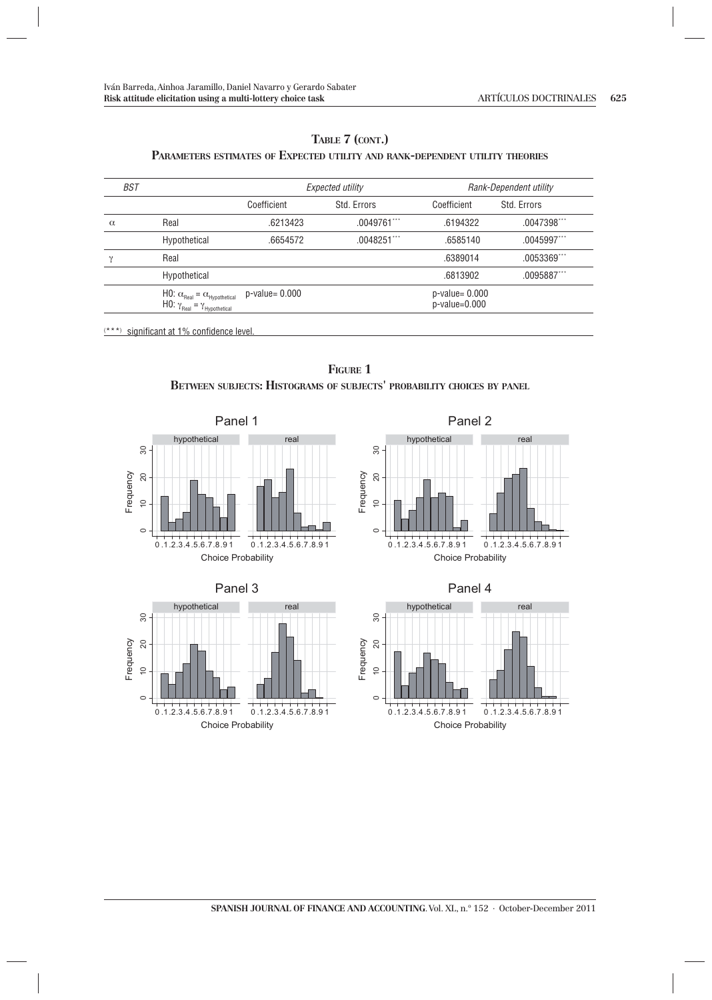### **TABLE 7 (CONT.) PARAMETERS ESTIMATES OF EXPECTED UTILITY AND RANK-DEPENDENT UTILITY THEORIES**

| BST      |                                                                                                                        |                     | Expected utility | Rank-Dependent utility                  |             |
|----------|------------------------------------------------------------------------------------------------------------------------|---------------------|------------------|-----------------------------------------|-------------|
|          |                                                                                                                        | Coefficient         | Std. Errors      | Coefficient                             | Std. Errors |
| $\alpha$ | Real                                                                                                                   | .6213423            | .0049761         | .6194322                                | .0047398    |
|          | Hypothetical                                                                                                           | .6654572            | .0048251         | .6585140                                | .0045997    |
|          | Real                                                                                                                   |                     |                  | .6389014                                | .0053369    |
|          | Hypothetical                                                                                                           |                     |                  | .6813902                                | .0095887    |
|          | $H0: \alpha_{\text{Real}} = \alpha_{\text{Hypothetical}}$<br>HO: $\gamma_{\text{Real}} = \gamma_{\text{Hypothetical}}$ | $p$ -value= $0.000$ |                  | $p$ -value= $0.000$<br>$p$ -value=0.000 |             |

 $(***)$  significant at 1% confidence level.

**FIGURE 1 BETWEEN SUBJECTS: HISTOGRAMS OF SUBJECTS' PROBABILITY CHOICES BY PANEL**











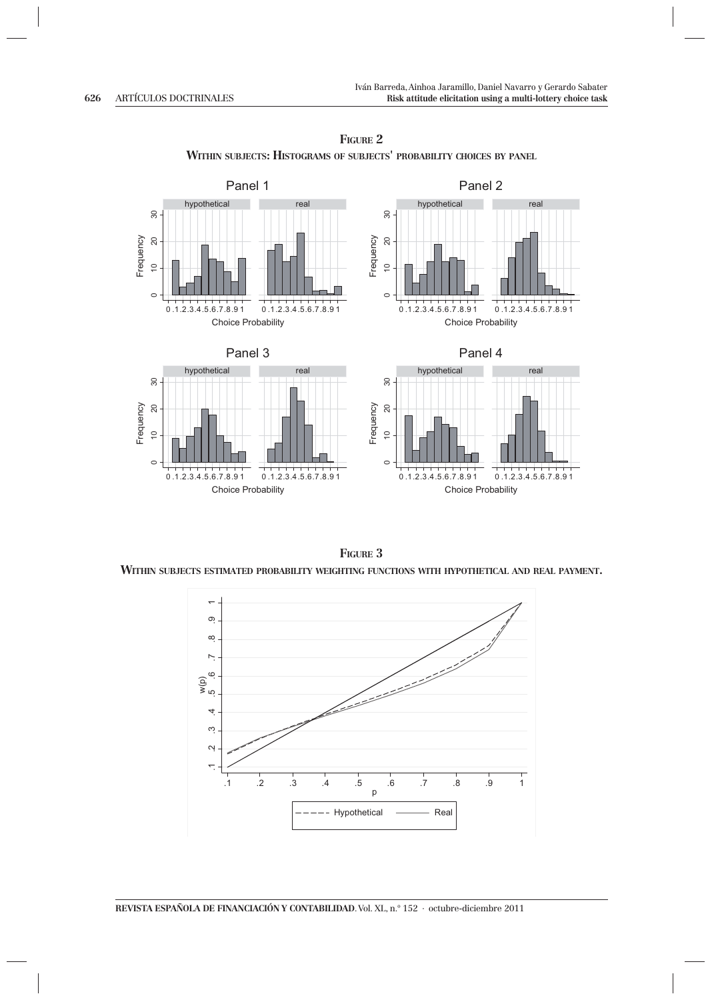

**FIGURE 2 WITHIN SUBJECTS: HISTOGRAMS OF SUBJECTS' PROBABILITY CHOICES BY PANEL**

**FIGURE 3**

**WITHIN SUBJECTS ESTIMATED PROBABILITY WEIGHTING FUNCTIONS WITH HYPOTHETICAL AND REAL PAYMENT.**

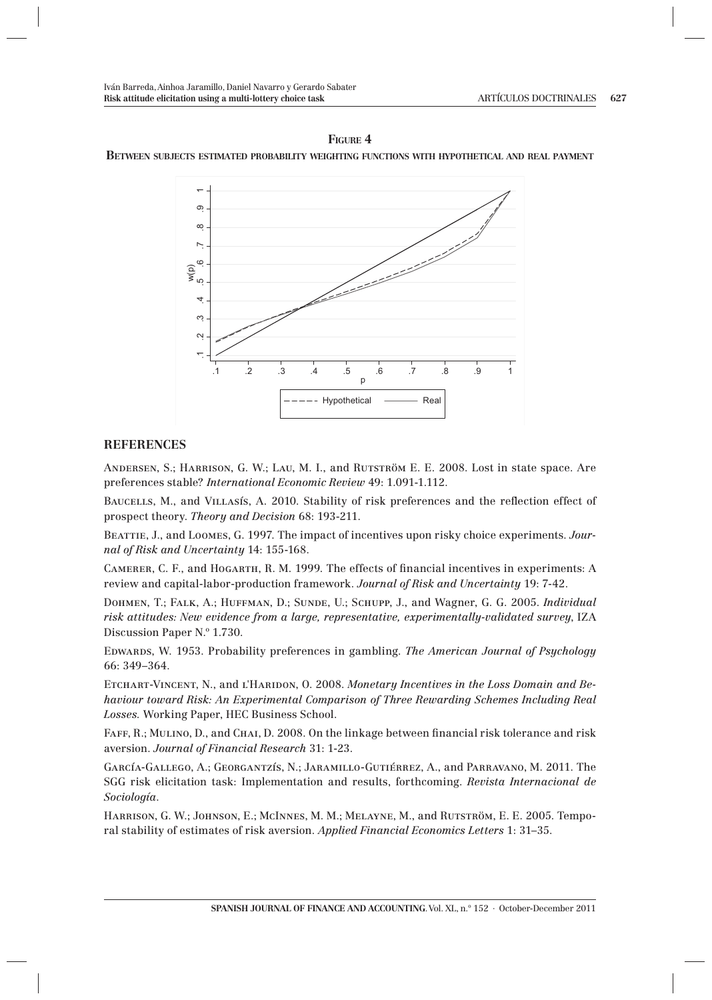#### **FIGURE 4 BETWEEN SUBJECTS ESTIMATED PROBABILITY WEIGHTING FUNCTIONS WITH HYPOTHETICAL AND REAL PAYMENT**



### **REFERENCES**

Andersen, S.; Harrison, G. W.; Lau, M. I., and Rutström E. E. 2008. Lost in state space. Are preferences stable? *International Economic Review* 49: 1.091-1.112.

BAUCELLS, M., and VILLASIS, A. 2010. Stability of risk preferences and the reflection effect of prospect theory. *Theory and Decision* 68: 193-211.

Beattie, J., and Loomes, G. 1997. The impact of incentives upon risky choice experiments. *Journal of Risk and Uncertainty* 14: 155-168.

CAMERER, C. F., and HOGARTH, R. M. 1999. The effects of financial incentives in experiments: A review and capital-labor-production framework. *Journal of Risk and Uncertainty* 19: 7-42.

Dohmen, T.; Falk, A.; Huffman, D.; Sunde, U.; Schupp, J., and Wagner, G. G. 2005. *Individual risk attitudes: New evidence from a large, representative, experimentally-validated survey*, IZA Discussion Paper N.º 1.730.

Edwards, W. 1953. Probability preferences in gambling. *The American Journal of Psychology*  66: 349–364.

ETCHART-VINCENT, N., and L'HARIDON, O. 2008. Monetary Incentives in the Loss Domain and Be*haviour toward Risk: An Experimental Comparison of Three Rewarding Schemes Including Real Losses.* Working Paper, HEC Business School.

FAFF, R.; MULINO, D., and CHAI, D. 2008. On the linkage between financial risk tolerance and risk aversion. *Journal of Financial Research* 31: 1-23.

García-Gallego, A.; Georgantzís, N.; Jaramillo-Gutiérrez, A., and Parravano, M. 2011. The SGG risk elicitation task: Implementation and results, forthcoming. *Revista Internacional de Sociología*.

Harrison, G. W.; Johnson, E.; McInnes, M. M.; Melayne, M., and Rutström, E. E. 2005. Temporal stability of estimates of risk aversion. *Applied Financial Economics Letters* 1: 31–35.